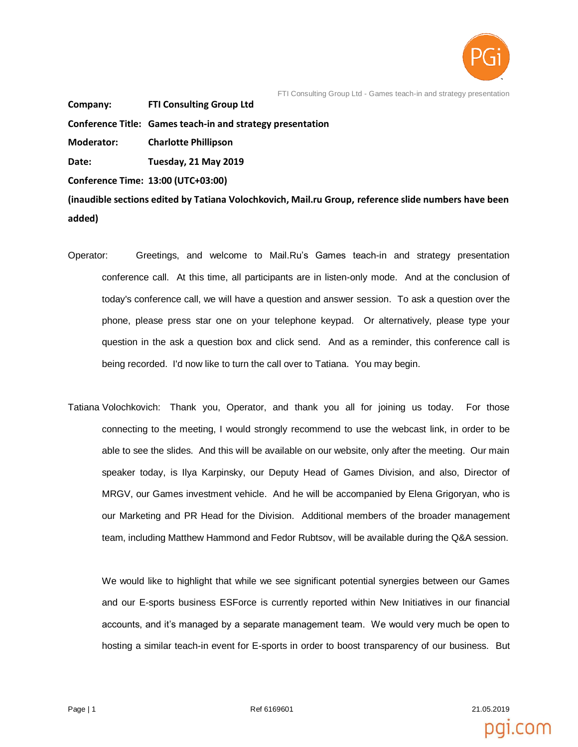

**Company: FTI Consulting Group Ltd**

**Conference Title: Games teach-in and strategy presentation**

**Moderator: Charlotte Phillipson**

**Date: Tuesday, 21 May 2019**

**Conference Time: 13:00 (UTC+03:00)**

**(inaudible sections edited by Tatiana Volochkovich, Mail.ru Group, reference slide numbers have been added)**

- Operator: Greetings, and welcome to Mail.Ru's Games teach-in and strategy presentation conference call. At this time, all participants are in listen-only mode. And at the conclusion of today's conference call, we will have a question and answer session. To ask a question over the phone, please press star one on your telephone keypad. Or alternatively, please type your question in the ask a question box and click send. And as a reminder, this conference call is being recorded. I'd now like to turn the call over to Tatiana. You may begin.
- Tatiana Volochkovich: Thank you, Operator, and thank you all for joining us today. For those connecting to the meeting, I would strongly recommend to use the webcast link, in order to be able to see the slides. And this will be available on our website, only after the meeting. Our main speaker today, is Ilya Karpinsky, our Deputy Head of Games Division, and also, Director of MRGV, our Games investment vehicle. And he will be accompanied by Elena Grigoryan, who is our Marketing and PR Head for the Division. Additional members of the broader management team, including Matthew Hammond and Fedor Rubtsov, will be available during the Q&A session.

We would like to highlight that while we see significant potential synergies between our Games and our E-sports business ESForce is currently reported within New Initiatives in our financial accounts, and it's managed by a separate management team. We would very much be open to hosting a similar teach-in event for E-sports in order to boost transparency of our business. But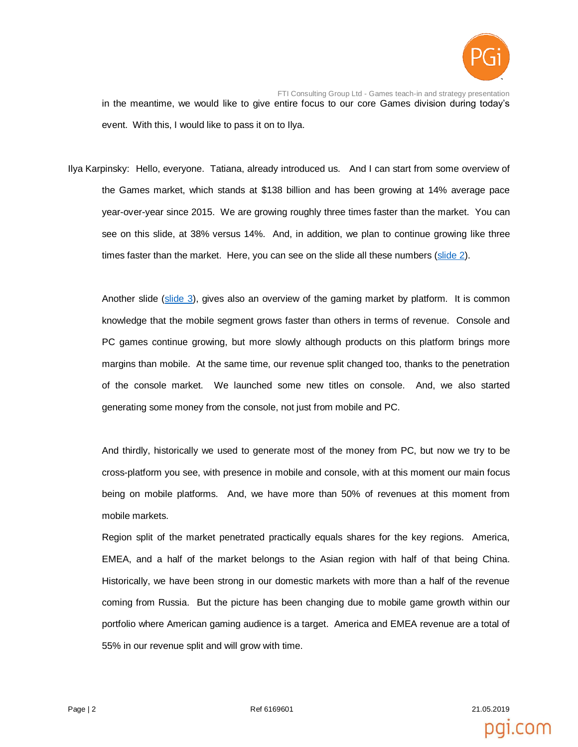

FTI Consulting Group Ltd - Games teach-in and strategy presentation in the meantime, we would like to give entire focus to our core Games division during today's event. With this, I would like to pass it on to Ilya.

Ilya Karpinsky: Hello, everyone. Tatiana, already introduced us. And I can start from some overview of the Games market, which stands at \$138 billion and has been growing at 14% average pace year-over-year since 2015. We are growing roughly three times faster than the market. You can see on this slide, at 38% versus 14%. And, in addition, we plan to continue growing like three times faster than the market. Here, you can see on the slide all these numbers [\(slide 2\)](https://corp.imgsmail.ru/media/files/investor-day21.05.pdf).

Another slide [\(slide 3\)](https://corp.imgsmail.ru/media/files/investor-day21.05.pdf), gives also an overview of the gaming market by platform. It is common knowledge that the mobile segment grows faster than others in terms of revenue. Console and PC games continue growing, but more slowly although products on this platform brings more margins than mobile. At the same time, our revenue split changed too, thanks to the penetration of the console market. We launched some new titles on console. And, we also started generating some money from the console, not just from mobile and PC.

And thirdly, historically we used to generate most of the money from PC, but now we try to be cross-platform you see, with presence in mobile and console, with at this moment our main focus being on mobile platforms. And, we have more than 50% of revenues at this moment from mobile markets.

Region split of the market penetrated practically equals shares for the key regions. America, EMEA, and a half of the market belongs to the Asian region with half of that being China. Historically, we have been strong in our domestic markets with more than a half of the revenue coming from Russia. But the picture has been changing due to mobile game growth within our portfolio where American gaming audience is a target. America and EMEA revenue are a total of 55% in our revenue split and will grow with time.

Page | 2 Ref 6169601 21.05.2019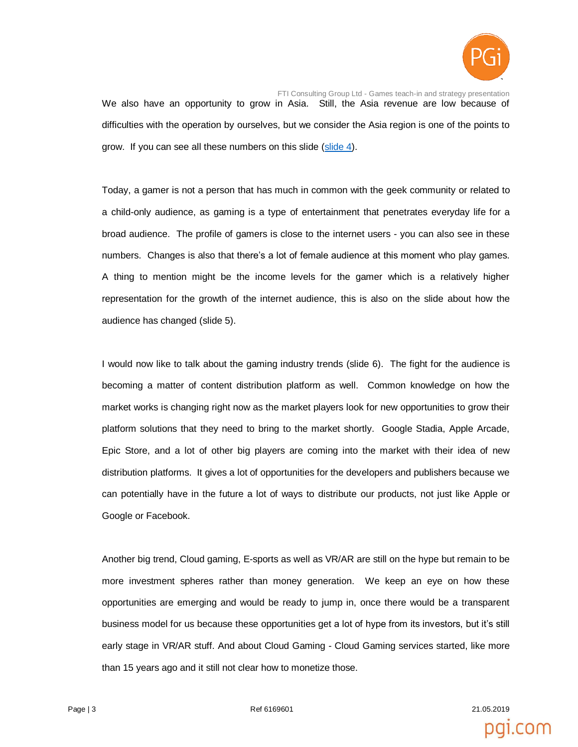

FTI Consulting Group Ltd - Games teach-in and strategy presentation We also have an opportunity to grow in Asia. Still, the Asia revenue are low because of difficulties with the operation by ourselves, but we consider the Asia region is one of the points to grow. If you can see all these numbers on this slide [\(slide 4\)](https://corp.imgsmail.ru/media/files/investor-day21.05.pdf).

Today, a gamer is not a person that has much in common with the geek community or related to a child-only audience, as gaming is a type of entertainment that penetrates everyday life for a broad audience. The profile of gamers is close to the internet users - you can also see in these numbers. Changes is also that there's a lot of female audience at this moment who play games. A thing to mention might be the income levels for the gamer which is a relatively higher representation for the growth of the internet audience, this is also on the slide about how the audience has changed (slide 5).

I would now like to talk about the gaming industry trends (slide 6). The fight for the audience is becoming a matter of content distribution platform as well. Common knowledge on how the market works is changing right now as the market players look for new opportunities to grow their platform solutions that they need to bring to the market shortly. Google Stadia, Apple Arcade, Epic Store, and a lot of other big players are coming into the market with their idea of new distribution platforms. It gives a lot of opportunities for the developers and publishers because we can potentially have in the future a lot of ways to distribute our products, not just like Apple or Google or Facebook.

Another big trend, Cloud gaming, E-sports as well as VR/AR are still on the hype but remain to be more investment spheres rather than money generation. We keep an eye on how these opportunities are emerging and would be ready to jump in, once there would be a transparent business model for us because these opportunities get a lot of hype from its investors, but it's still early stage in VR/AR stuff. And about Cloud Gaming - Cloud Gaming services started, like more than 15 years ago and it still not clear how to monetize those.

Page | 3 Ref 6169601 21.05.2019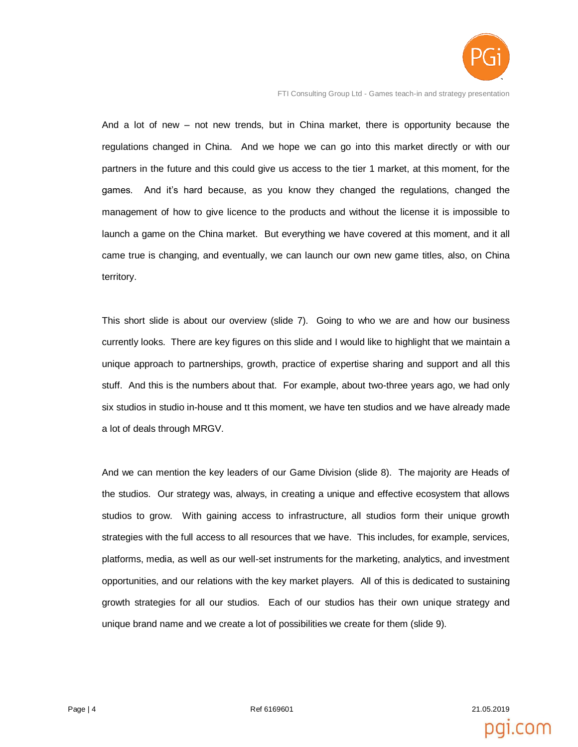

And a lot of new – not new trends, but in China market, there is opportunity because the regulations changed in China. And we hope we can go into this market directly or with our partners in the future and this could give us access to the tier 1 market, at this moment, for the games. And it's hard because, as you know they changed the regulations, changed the management of how to give licence to the products and without the license it is impossible to launch a game on the China market. But everything we have covered at this moment, and it all came true is changing, and eventually, we can launch our own new game titles, also, on China territory.

This short slide is about our overview (slide 7). Going to who we are and how our business currently looks. There are key figures on this slide and I would like to highlight that we maintain a unique approach to partnerships, growth, practice of expertise sharing and support and all this stuff. And this is the numbers about that. For example, about two-three years ago, we had only six studios in studio in-house and tt this moment, we have ten studios and we have already made a lot of deals through MRGV.

And we can mention the key leaders of our Game Division (slide 8). The majority are Heads of the studios. Our strategy was, always, in creating a unique and effective ecosystem that allows studios to grow. With gaining access to infrastructure, all studios form their unique growth strategies with the full access to all resources that we have. This includes, for example, services, platforms, media, as well as our well-set instruments for the marketing, analytics, and investment opportunities, and our relations with the key market players. All of this is dedicated to sustaining growth strategies for all our studios. Each of our studios has their own unique strategy and unique brand name and we create a lot of possibilities we create for them (slide 9).

Page | 4 Ref 6169601 21.05.2019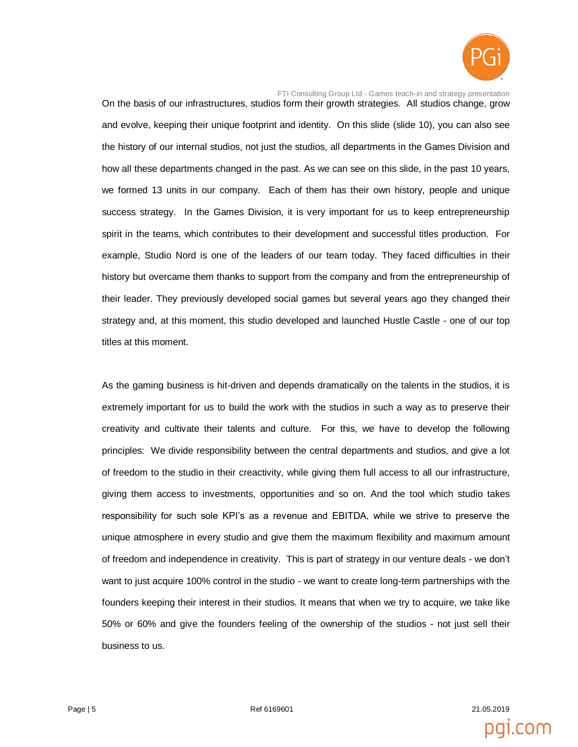

FTI Consulting Group Ltd - Games teach-in and strategy presentation On the basis of our infrastructures, studios form their growth strategies. All studios change, grow and evolve, keeping their unique footprint and identity. On this slide (slide 10), you can also see the history of our internal studios, not just the studios, all departments in the Games Division and how all these departments changed in the past. As we can see on this slide, in the past 10 years, we formed 13 units in our company. Each of them has their own history, people and unique success strategy. In the Games Division, it is very important for us to keep entrepreneurship spirit in the teams, which contributes to their development and successful titles production. For example, Studio Nord is one of the leaders of our team today. They faced difficulties in their history but overcame them thanks to support from the company and from the entrepreneurship of their leader. They previously developed social games but several years ago they changed their strategy and, at this moment, this studio developed and launched Hustle Castle - one of our top titles at this moment.

As the gaming business is hit-driven and depends dramatically on the talents in the studios, it is extremely important for us to build the work with the studios in such a way as to preserve their creativity and cultivate their talents and culture. For this, we have to develop the following principles: We divide responsibility between the central departments and studios, and give a lot of freedom to the studio in their creactivity, while giving them full access to all our infrastructure, giving them access to investments, opportunities and so on. And the tool which studio takes responsibility for such sole KPI's as a revenue and EBITDA, while we strive to preserve the unique atmosphere in every studio and give them the maximum flexibility and maximum amount of freedom and independence in creativity. This is part of strategy in our venture deals - we don't want to just acquire 100% control in the studio - we want to create long-term partnerships with the founders keeping their interest in their studios. It means that when we try to acquire, we take like 50% or 60% and give the founders feeling of the ownership of the studios - not just sell their business to us.

Page | 5 Ref 6169601 21.05.2019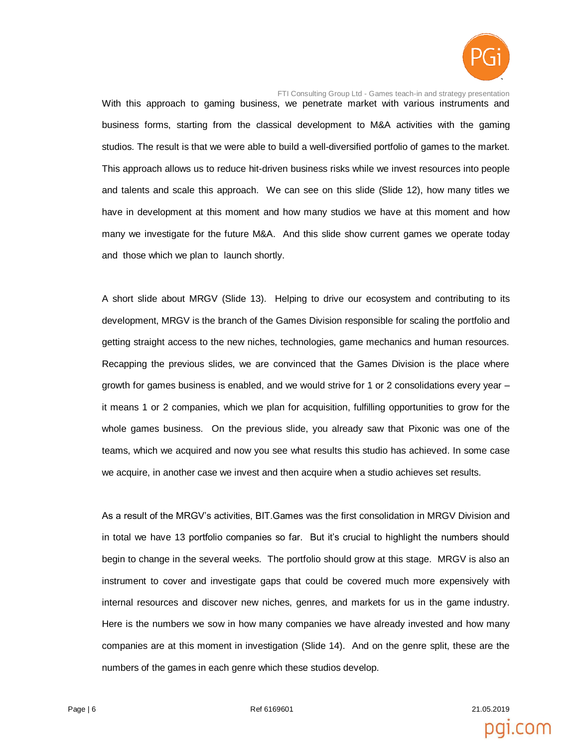

FTI Consulting Group Ltd - Games teach-in and strategy presentation With this approach to gaming business, we penetrate market with various instruments and business forms, starting from the classical development to M&A activities with the gaming studios. The result is that we were able to build a well-diversified portfolio of games to the market. This approach allows us to reduce hit-driven business risks while we invest resources into people and talents and scale this approach. We can see on this slide (Slide 12), how many titles we have in development at this moment and how many studios we have at this moment and how many we investigate for the future M&A. And this slide show current games we operate today and those which we plan to launch shortly.

A short slide about MRGV (Slide 13). Helping to drive our ecosystem and contributing to its development, MRGV is the branch of the Games Division responsible for scaling the portfolio and getting straight access to the new niches, technologies, game mechanics and human resources. Recapping the previous slides, we are convinced that the Games Division is the place where growth for games business is enabled, and we would strive for 1 or 2 consolidations every year – it means 1 or 2 companies, which we plan for acquisition, fulfilling opportunities to grow for the whole games business. On the previous slide, you already saw that Pixonic was one of the teams, which we acquired and now you see what results this studio has achieved. In some case we acquire, in another case we invest and then acquire when a studio achieves set results.

As a result of the MRGV's activities, BIT.Games was the first consolidation in MRGV Division and in total we have 13 portfolio companies so far. But it's crucial to highlight the numbers should begin to change in the several weeks. The portfolio should grow at this stage. MRGV is also an instrument to cover and investigate gaps that could be covered much more expensively with internal resources and discover new niches, genres, and markets for us in the game industry. Here is the numbers we sow in how many companies we have already invested and how many companies are at this moment in investigation (Slide 14). And on the genre split, these are the numbers of the games in each genre which these studios develop.

Page | 6 Ref 6169601 21.05.2019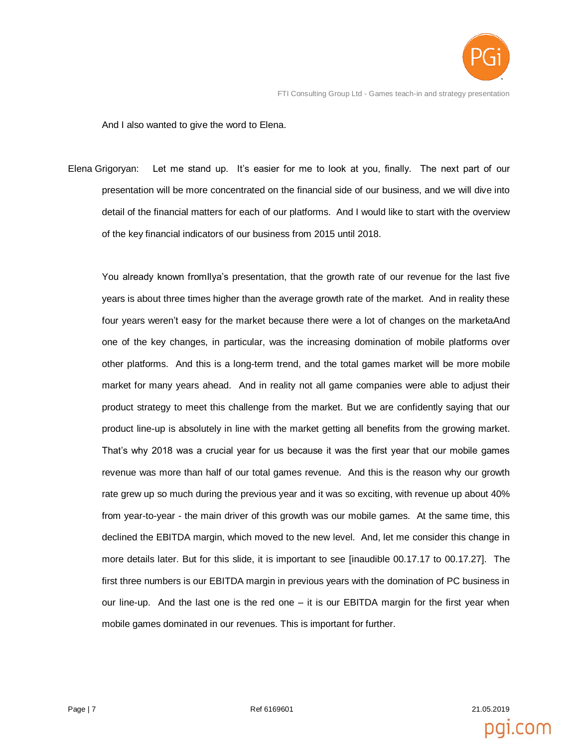

And I also wanted to give the word to Elena.

Elena Grigoryan: Let me stand up. It's easier for me to look at you, finally. The next part of our presentation will be more concentrated on the financial side of our business, and we will dive into detail of the financial matters for each of our platforms. And I would like to start with the overview of the key financial indicators of our business from 2015 until 2018.

You already known fromIlya's presentation, that the growth rate of our revenue for the last five years is about three times higher than the average growth rate of the market. And in reality these four years weren't easy for the market because there were a lot of changes on the marketaAnd one of the key changes, in particular, was the increasing domination of mobile platforms over other platforms. And this is a long-term trend, and the total games market will be more mobile market for many years ahead. And in reality not all game companies were able to adjust their product strategy to meet this challenge from the market. But we are confidently saying that our product line-up is absolutely in line with the market getting all benefits from the growing market. That's why 2018 was a crucial year for us because it was the first year that our mobile games revenue was more than half of our total games revenue. And this is the reason why our growth rate grew up so much during the previous year and it was so exciting, with revenue up about 40% from year-to-year - the main driver of this growth was our mobile games. At the same time, this declined the EBITDA margin, which moved to the new level. And, let me consider this change in more details later. But for this slide, it is important to see [inaudible 00.17.17 to 00.17.27]. The first three numbers is our EBITDA margin in previous years with the domination of PC business in our line-up. And the last one is the red one – it is our EBITDA margin for the first year when mobile games dominated in our revenues. This is important for further.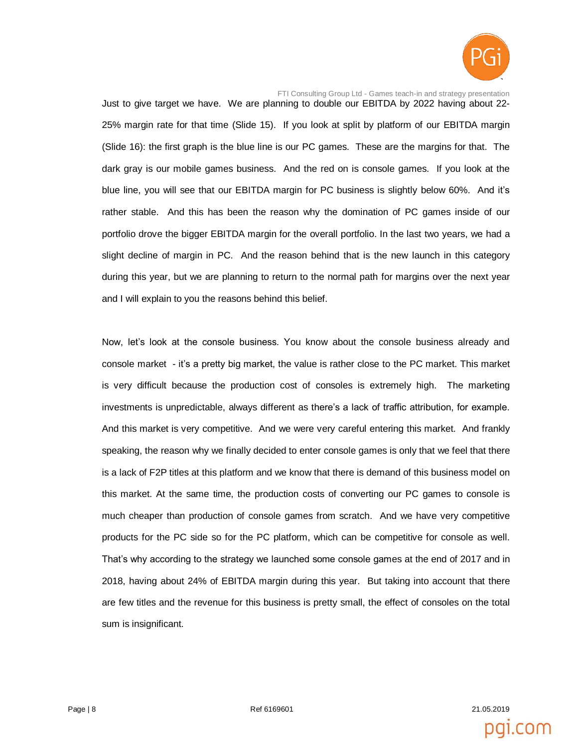

Just to give target we have. We are planning to double our EBITDA by 2022 having about 22- 25% margin rate for that time (Slide 15). If you look at split by platform of our EBITDA margin (Slide 16): the first graph is the blue line is our PC games. These are the margins for that. The dark gray is our mobile games business. And the red on is console games. If you look at the blue line, you will see that our EBITDA margin for PC business is slightly below 60%. And it's rather stable. And this has been the reason why the domination of PC games inside of our portfolio drove the bigger EBITDA margin for the overall portfolio. In the last two years, we had a slight decline of margin in PC. And the reason behind that is the new launch in this category during this year, but we are planning to return to the normal path for margins over the next year and I will explain to you the reasons behind this belief.

Now, let's look at the console business. You know about the console business already and console market - it's a pretty big market, the value is rather close to the PC market. This market is very difficult because the production cost of consoles is extremely high. The marketing investments is unpredictable, always different as there's a lack of traffic attribution, for example. And this market is very competitive. And we were very careful entering this market. And frankly speaking, the reason why we finally decided to enter console games is only that we feel that there is a lack of F2P titles at this platform and we know that there is demand of this business model on this market. At the same time, the production costs of converting our PC games to console is much cheaper than production of console games from scratch. And we have very competitive products for the PC side so for the PC platform, which can be competitive for console as well. That's why according to the strategy we launched some console games at the end of 2017 and in 2018, having about 24% of EBITDA margin during this year. But taking into account that there are few titles and the revenue for this business is pretty small, the effect of consoles on the total sum is insignificant.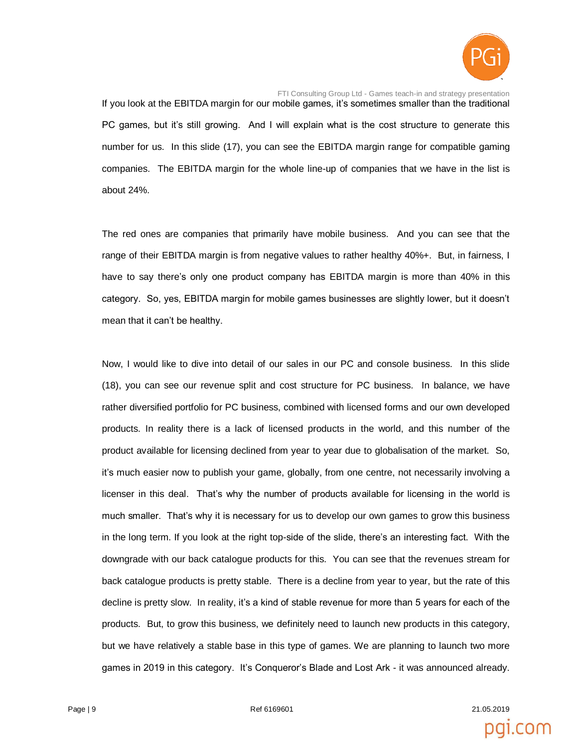

FTI Consulting Group Ltd - Games teach-in and strategy presentation If you look at the EBITDA margin for our mobile games, it's sometimes smaller than the traditional PC games, but it's still growing. And I will explain what is the cost structure to generate this number for us. In this slide (17), you can see the EBITDA margin range for compatible gaming companies. The EBITDA margin for the whole line-up of companies that we have in the list is about 24%.

The red ones are companies that primarily have mobile business. And you can see that the range of their EBITDA margin is from negative values to rather healthy 40%+. But, in fairness, I have to say there's only one product company has EBITDA margin is more than 40% in this category. So, yes, EBITDA margin for mobile games businesses are slightly lower, but it doesn't mean that it can't be healthy.

Now, I would like to dive into detail of our sales in our PC and console business. In this slide (18), you can see our revenue split and cost structure for PC business. In balance, we have rather diversified portfolio for PC business, combined with licensed forms and our own developed products. In reality there is a lack of licensed products in the world, and this number of the product available for licensing declined from year to year due to globalisation of the market. So, it's much easier now to publish your game, globally, from one centre, not necessarily involving a licenser in this deal. That's why the number of products available for licensing in the world is much smaller. That's why it is necessary for us to develop our own games to grow this business in the long term. If you look at the right top-side of the slide, there's an interesting fact. With the downgrade with our back catalogue products for this. You can see that the revenues stream for back catalogue products is pretty stable. There is a decline from year to year, but the rate of this decline is pretty slow. In reality, it's a kind of stable revenue for more than 5 years for each of the products. But, to grow this business, we definitely need to launch new products in this category, but we have relatively a stable base in this type of games. We are planning to launch two more games in 2019 in this category. It's Conqueror's Blade and Lost Ark - it was announced already.

Page | 9 Ref 6169601 21.05.2019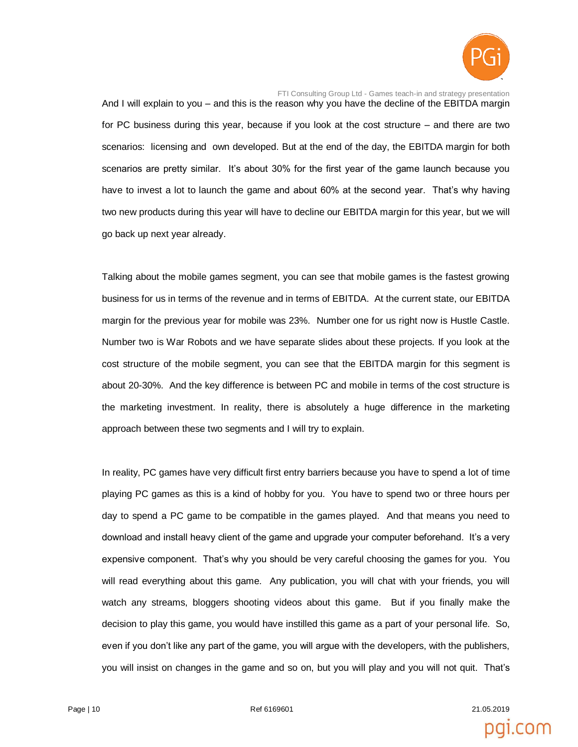

FTI Consulting Group Ltd - Games teach-in and strategy presentation And I will explain to you – and this is the reason why you have the decline of the EBITDA margin for PC business during this year, because if you look at the cost structure – and there are two scenarios: licensing and own developed. But at the end of the day, the EBITDA margin for both scenarios are pretty similar. It's about 30% for the first year of the game launch because you have to invest a lot to launch the game and about 60% at the second year. That's why having two new products during this year will have to decline our EBITDA margin for this year, but we will go back up next year already.

Talking about the mobile games segment, you can see that mobile games is the fastest growing business for us in terms of the revenue and in terms of EBITDA. At the current state, our EBITDA margin for the previous year for mobile was 23%. Number one for us right now is Hustle Castle. Number two is War Robots and we have separate slides about these projects. If you look at the cost structure of the mobile segment, you can see that the EBITDA margin for this segment is about 20-30%. And the key difference is between PC and mobile in terms of the cost structure is the marketing investment. In reality, there is absolutely a huge difference in the marketing approach between these two segments and I will try to explain.

In reality, PC games have very difficult first entry barriers because you have to spend a lot of time playing PC games as this is a kind of hobby for you. You have to spend two or three hours per day to spend a PC game to be compatible in the games played. And that means you need to download and install heavy client of the game and upgrade your computer beforehand. It's a very expensive component. That's why you should be very careful choosing the games for you. You will read everything about this game. Any publication, you will chat with your friends, you will watch any streams, bloggers shooting videos about this game. But if you finally make the decision to play this game, you would have instilled this game as a part of your personal life. So, even if you don't like any part of the game, you will argue with the developers, with the publishers, you will insist on changes in the game and so on, but you will play and you will not quit. That's

Page | 10 Ref 6169601 21.05.2019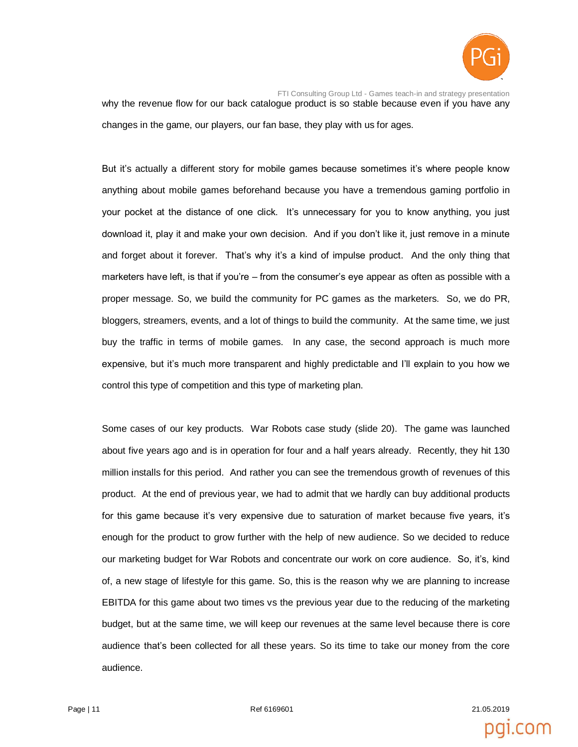

FTI Consulting Group Ltd - Games teach-in and strategy presentation why the revenue flow for our back catalogue product is so stable because even if you have any changes in the game, our players, our fan base, they play with us for ages.

But it's actually a different story for mobile games because sometimes it's where people know anything about mobile games beforehand because you have a tremendous gaming portfolio in your pocket at the distance of one click. It's unnecessary for you to know anything, you just download it, play it and make your own decision. And if you don't like it, just remove in a minute and forget about it forever. That's why it's a kind of impulse product. And the only thing that marketers have left, is that if you're – from the consumer's eye appear as often as possible with a proper message. So, we build the community for PC games as the marketers. So, we do PR, bloggers, streamers, events, and a lot of things to build the community. At the same time, we just buy the traffic in terms of mobile games. In any case, the second approach is much more expensive, but it's much more transparent and highly predictable and I'll explain to you how we control this type of competition and this type of marketing plan.

Some cases of our key products. War Robots case study (slide 20). The game was launched about five years ago and is in operation for four and a half years already. Recently, they hit 130 million installs for this period. And rather you can see the tremendous growth of revenues of this product. At the end of previous year, we had to admit that we hardly can buy additional products for this game because it's very expensive due to saturation of market because five years, it's enough for the product to grow further with the help of new audience. So we decided to reduce our marketing budget for War Robots and concentrate our work on core audience. So, it's, kind of, a new stage of lifestyle for this game. So, this is the reason why we are planning to increase EBITDA for this game about two times vs the previous year due to the reducing of the marketing budget, but at the same time, we will keep our revenues at the same level because there is core audience that's been collected for all these years. So its time to take our money from the core audience.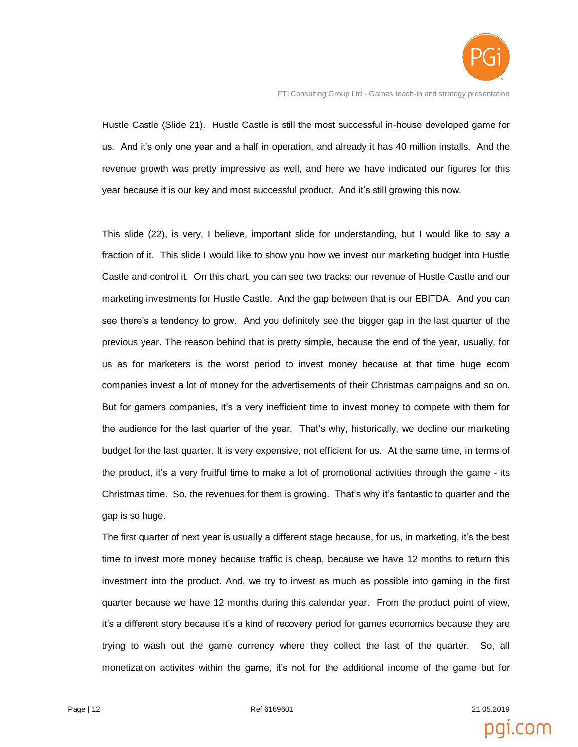

Hustle Castle (Slide 21). Hustle Castle is still the most successful in-house developed game for us. And it's only one year and a half in operation, and already it has 40 million installs. And the revenue growth was pretty impressive as well, and here we have indicated our figures for this year because it is our key and most successful product. And it's still growing this now.

This slide (22), is very, I believe, important slide for understanding, but I would like to say a fraction of it. This slide I would like to show you how we invest our marketing budget into Hustle Castle and control it. On this chart, you can see two tracks: our revenue of Hustle Castle and our marketing investments for Hustle Castle. And the gap between that is our EBITDA. And you can see there's a tendency to grow. And you definitely see the bigger gap in the last quarter of the previous year. The reason behind that is pretty simple, because the end of the year, usually, for us as for marketers is the worst period to invest money because at that time huge ecom companies invest a lot of money for the advertisements of their Christmas campaigns and so on. But for gamers companies, it's a very inefficient time to invest money to compete with them for the audience for the last quarter of the year. That's why, historically, we decline our marketing budget for the last quarter. It is very expensive, not efficient for us. At the same time, in terms of the product, it's a very fruitful time to make a lot of promotional activities through the game - its Christmas time. So, the revenues for them is growing. That's why it's fantastic to quarter and the gap is so huge.

The first quarter of next year is usually a different stage because, for us, in marketing, it's the best time to invest more money because traffic is cheap, because we have 12 months to return this investment into the product. And, we try to invest as much as possible into gaming in the first quarter because we have 12 months during this calendar year. From the product point of view, it's a different story because it's a kind of recovery period for games economics because they are trying to wash out the game currency where they collect the last of the quarter. So, all monetization activites within the game, it's not for the additional income of the game but for

Page | 12 Ref 6169601 21.05.2019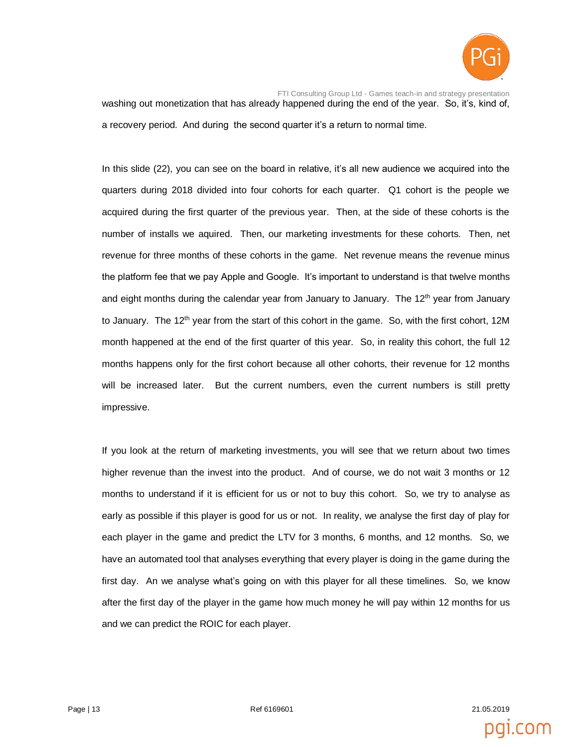

FTI Consulting Group Ltd - Games teach-in and strategy presentation washing out monetization that has already happened during the end of the year. So, it's, kind of, a recovery period. And during the second quarter it's a return to normal time.

In this slide (22), you can see on the board in relative, it's all new audience we acquired into the quarters during 2018 divided into four cohorts for each quarter. Q1 cohort is the people we acquired during the first quarter of the previous year. Then, at the side of these cohorts is the number of installs we aquired. Then, our marketing investments for these cohorts. Then, net revenue for three months of these cohorts in the game. Net revenue means the revenue minus the platform fee that we pay Apple and Google. It's important to understand is that twelve months and eight months during the calendar year from January to January. The  $12<sup>th</sup>$  year from January to January. The 12<sup>th</sup> year from the start of this cohort in the game. So, with the first cohort, 12M month happened at the end of the first quarter of this year. So, in reality this cohort, the full 12 months happens only for the first cohort because all other cohorts, their revenue for 12 months will be increased later. But the current numbers, even the current numbers is still pretty impressive.

If you look at the return of marketing investments, you will see that we return about two times higher revenue than the invest into the product. And of course, we do not wait 3 months or 12 months to understand if it is efficient for us or not to buy this cohort. So, we try to analyse as early as possible if this player is good for us or not. In reality, we analyse the first day of play for each player in the game and predict the LTV for 3 months, 6 months, and 12 months. So, we have an automated tool that analyses everything that every player is doing in the game during the first day. An we analyse what's going on with this player for all these timelines. So, we know after the first day of the player in the game how much money he will pay within 12 months for us and we can predict the ROIC for each player.

Page | 13 Ref 6169601 21.05.2019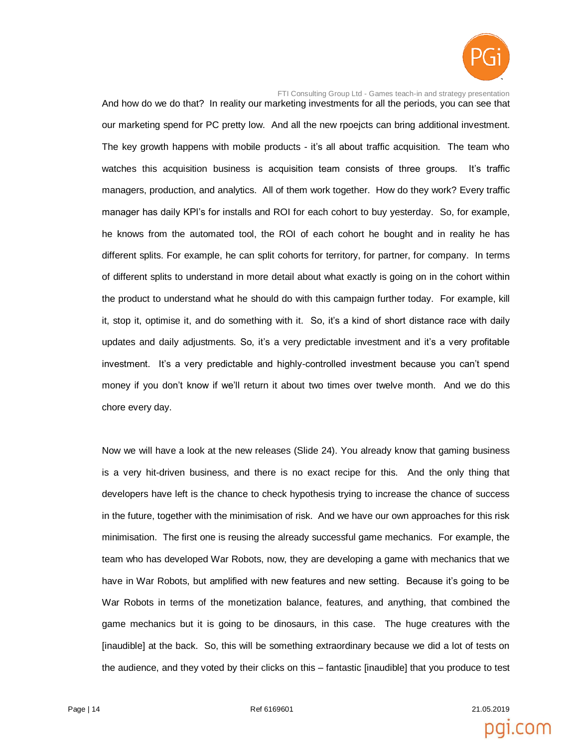

And how do we do that? In reality our marketing investments for all the periods, you can see that our marketing spend for PC pretty low. And all the new rpoejcts can bring additional investment. The key growth happens with mobile products - it's all about traffic acquisition. The team who watches this acquisition business is acquisition team consists of three groups. It's traffic managers, production, and analytics. All of them work together. How do they work? Every traffic manager has daily KPI's for installs and ROI for each cohort to buy yesterday. So, for example, he knows from the automated tool, the ROI of each cohort he bought and in reality he has different splits. For example, he can split cohorts for territory, for partner, for company. In terms of different splits to understand in more detail about what exactly is going on in the cohort within the product to understand what he should do with this campaign further today. For example, kill it, stop it, optimise it, and do something with it. So, it's a kind of short distance race with daily updates and daily adjustments. So, it's a very predictable investment and it's a very profitable investment. It's a very predictable and highly-controlled investment because you can't spend money if you don't know if we'll return it about two times over twelve month. And we do this chore every day.

Now we will have a look at the new releases (Slide 24). You already know that gaming business is a very hit-driven business, and there is no exact recipe for this. And the only thing that developers have left is the chance to check hypothesis trying to increase the chance of success in the future, together with the minimisation of risk. And we have our own approaches for this risk minimisation. The first one is reusing the already successful game mechanics. For example, the team who has developed War Robots, now, they are developing a game with mechanics that we have in War Robots, but amplified with new features and new setting. Because it's going to be War Robots in terms of the monetization balance, features, and anything, that combined the game mechanics but it is going to be dinosaurs, in this case. The huge creatures with the [inaudible] at the back. So, this will be something extraordinary because we did a lot of tests on the audience, and they voted by their clicks on this – fantastic [inaudible] that you produce to test

Page | 14 Ref 6169601 21.05.2019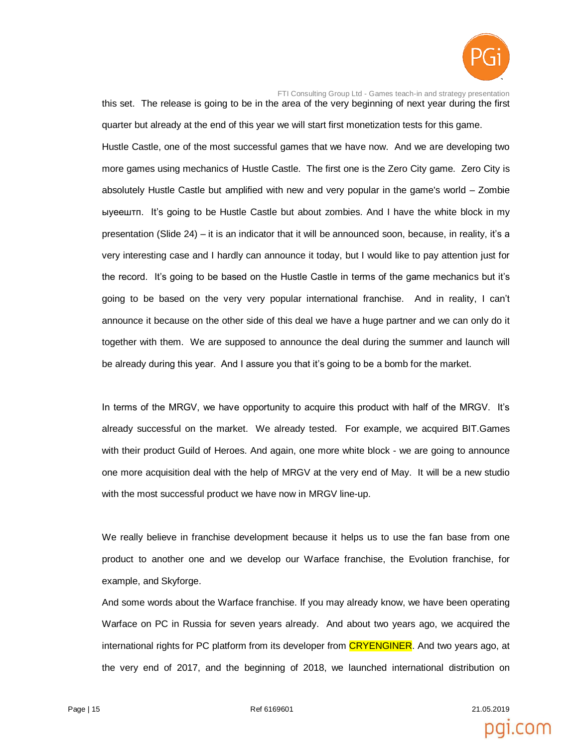

FTI Consulting Group Ltd - Games teach-in and strategy presentation this set. The release is going to be in the area of the very beginning of next year during the first quarter but already at the end of this year we will start first monetization tests for this game. Hustle Castle, one of the most successful games that we have now. And we are developing two more games using mechanics of Hustle Castle. The first one is the Zero City game. Zero City is absolutely Hustle Castle but amplified with new and very popular in the game's world – Zombie ыуеештп. It's going to be Hustle Castle but about zombies. And I have the white block in my presentation (Slide 24) – it is an indicator that it will be announced soon, because, in reality, it's a very interesting case and I hardly can announce it today, but I would like to pay attention just for the record. It's going to be based on the Hustle Castle in terms of the game mechanics but it's going to be based on the very very popular international franchise. And in reality, I can't announce it because on the other side of this deal we have a huge partner and we can only do it together with them. We are supposed to announce the deal during the summer and launch will be already during this year. And I assure you that it's going to be a bomb for the market.

In terms of the MRGV, we have opportunity to acquire this product with half of the MRGV. It's already successful on the market. We already tested. For example, we acquired BIT.Games with their product Guild of Heroes. And again, one more white block - we are going to announce one more acquisition deal with the help of MRGV at the very end of May. It will be a new studio with the most successful product we have now in MRGV line-up.

We really believe in franchise development because it helps us to use the fan base from one product to another one and we develop our Warface franchise, the Evolution franchise, for example, and Skyforge.

And some words about the Warface franchise. If you may already know, we have been operating Warface on PC in Russia for seven years already. And about two years ago, we acquired the international rights for PC platform from its developer from **CRYENGINER**. And two years ago, at the very end of 2017, and the beginning of 2018, we launched international distribution on

Page | 15 Ref 6169601 21.05.2019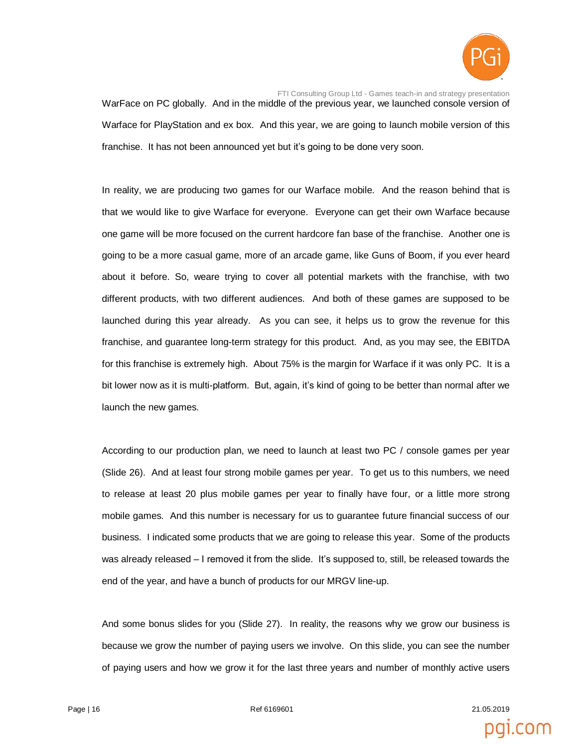

FTI Consulting Group Ltd - Games teach-in and strategy presentation WarFace on PC globally. And in the middle of the previous year, we launched console version of Warface for PlayStation and ex box. And this year, we are going to launch mobile version of this franchise. It has not been announced yet but it's going to be done very soon.

In reality, we are producing two games for our Warface mobile. And the reason behind that is that we would like to give Warface for everyone. Everyone can get their own Warface because one game will be more focused on the current hardcore fan base of the franchise. Another one is going to be a more casual game, more of an arcade game, like Guns of Boom, if you ever heard about it before. So, weare trying to cover all potential markets with the franchise, with two different products, with two different audiences. And both of these games are supposed to be launched during this year already. As you can see, it helps us to grow the revenue for this franchise, and guarantee long-term strategy for this product. And, as you may see, the EBITDA for this franchise is extremely high. About 75% is the margin for Warface if it was only PC. It is a bit lower now as it is multi-platform. But, again, it's kind of going to be better than normal after we launch the new games.

According to our production plan, we need to launch at least two PC / console games per year (Slide 26). And at least four strong mobile games per year. To get us to this numbers, we need to release at least 20 plus mobile games per year to finally have four, or a little more strong mobile games. And this number is necessary for us to guarantee future financial success of our business. I indicated some products that we are going to release this year. Some of the products was already released – I removed it from the slide. It's supposed to, still, be released towards the end of the year, and have a bunch of products for our MRGV line-up.

And some bonus slides for you (Slide 27). In reality, the reasons why we grow our business is because we grow the number of paying users we involve. On this slide, you can see the number of paying users and how we grow it for the last three years and number of monthly active users

Page | 16 Ref 6169601 21.05.2019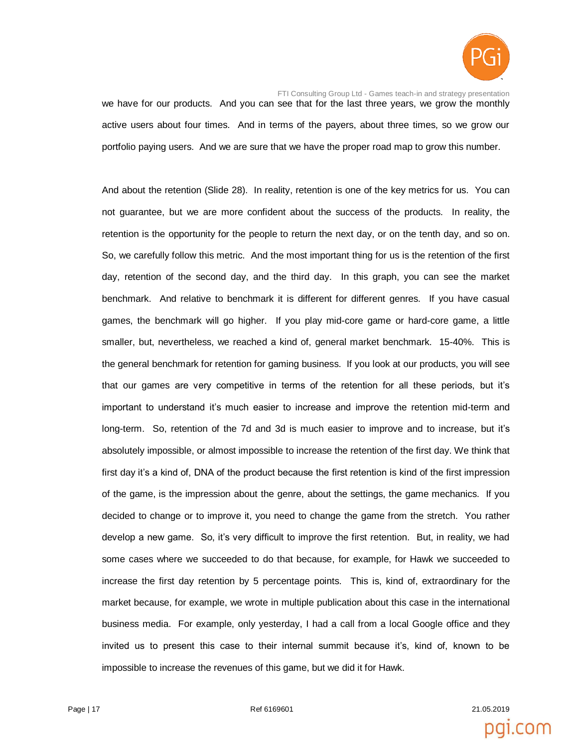

FTI Consulting Group Ltd - Games teach-in and strategy presentation we have for our products. And you can see that for the last three years, we grow the monthly active users about four times. And in terms of the payers, about three times, so we grow our portfolio paying users. And we are sure that we have the proper road map to grow this number.

And about the retention (Slide 28). In reality, retention is one of the key metrics for us. You can not guarantee, but we are more confident about the success of the products. In reality, the retention is the opportunity for the people to return the next day, or on the tenth day, and so on. So, we carefully follow this metric. And the most important thing for us is the retention of the first day, retention of the second day, and the third day. In this graph, you can see the market benchmark. And relative to benchmark it is different for different genres. If you have casual games, the benchmark will go higher. If you play mid-core game or hard-core game, a little smaller, but, nevertheless, we reached a kind of, general market benchmark. 15-40%. This is the general benchmark for retention for gaming business. If you look at our products, you will see that our games are very competitive in terms of the retention for all these periods, but it's important to understand it's much easier to increase and improve the retention mid-term and long-term. So, retention of the 7d and 3d is much easier to improve and to increase, but it's absolutely impossible, or almost impossible to increase the retention of the first day. We think that first day it's a kind of, DNA of the product because the first retention is kind of the first impression of the game, is the impression about the genre, about the settings, the game mechanics. If you decided to change or to improve it, you need to change the game from the stretch. You rather develop a new game. So, it's very difficult to improve the first retention. But, in reality, we had some cases where we succeeded to do that because, for example, for Hawk we succeeded to increase the first day retention by 5 percentage points. This is, kind of, extraordinary for the market because, for example, we wrote in multiple publication about this case in the international business media. For example, only yesterday, I had a call from a local Google office and they invited us to present this case to their internal summit because it's, kind of, known to be impossible to increase the revenues of this game, but we did it for Hawk.

Page | 17 Ref 6169601 21.05.2019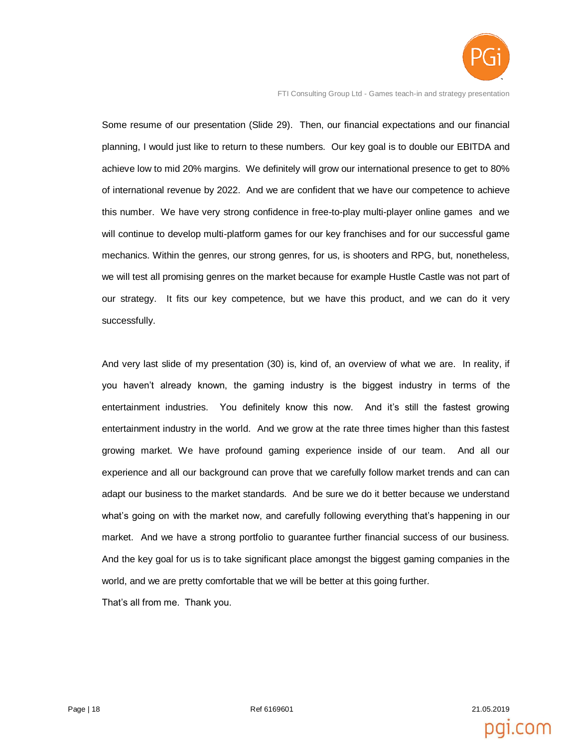

Some resume of our presentation (Slide 29). Then, our financial expectations and our financial planning, I would just like to return to these numbers. Our key goal is to double our EBITDA and achieve low to mid 20% margins. We definitely will grow our international presence to get to 80% of international revenue by 2022. And we are confident that we have our competence to achieve this number. We have very strong confidence in free-to-play multi-player online games and we will continue to develop multi-platform games for our key franchises and for our successful game mechanics. Within the genres, our strong genres, for us, is shooters and RPG, but, nonetheless, we will test all promising genres on the market because for example Hustle Castle was not part of our strategy. It fits our key competence, but we have this product, and we can do it very successfully.

And very last slide of my presentation (30) is, kind of, an overview of what we are. In reality, if you haven't already known, the gaming industry is the biggest industry in terms of the entertainment industries. You definitely know this now. And it's still the fastest growing entertainment industry in the world. And we grow at the rate three times higher than this fastest growing market. We have profound gaming experience inside of our team. And all our experience and all our background can prove that we carefully follow market trends and can can adapt our business to the market standards. And be sure we do it better because we understand what's going on with the market now, and carefully following everything that's happening in our market. And we have a strong portfolio to guarantee further financial success of our business. And the key goal for us is to take significant place amongst the biggest gaming companies in the world, and we are pretty comfortable that we will be better at this going further. That's all from me. Thank you.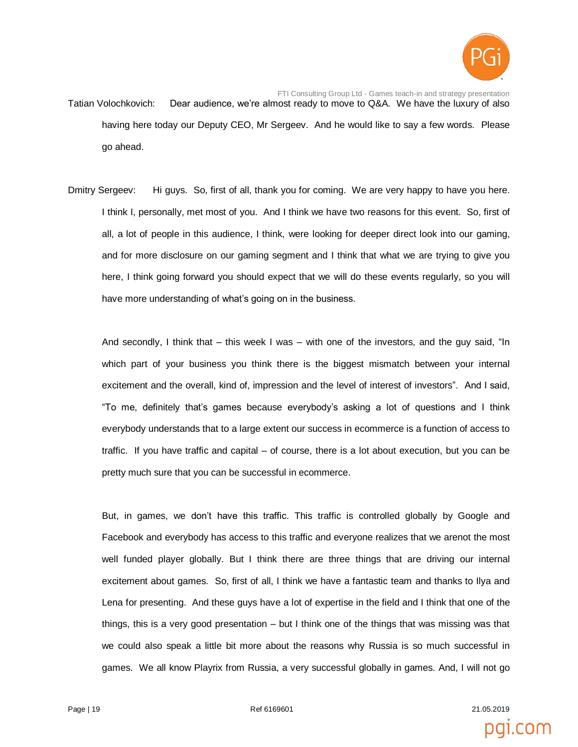

FTI Consulting Group Ltd - Games teach-in and strategy presentation Tatian Volochkovich: Dear audience, we're almost ready to move to Q&A. We have the luxury of also having here today our Deputy CEO, Mr Sergeev. And he would like to say a few words. Please go ahead.

Dmitry Sergeev: Hi guys. So, first of all, thank you for coming. We are very happy to have you here. I think I, personally, met most of you. And I think we have two reasons for this event. So, first of all, a lot of people in this audience, I think, were looking for deeper direct look into our gaming, and for more disclosure on our gaming segment and I think that what we are trying to give you here, I think going forward you should expect that we will do these events regularly, so you will have more understanding of what's going on in the business.

And secondly, I think that – this week I was – with one of the investors, and the guy said, "In which part of your business you think there is the biggest mismatch between your internal excitement and the overall, kind of, impression and the level of interest of investors". And I said, "To me, definitely that's games because everybody's asking a lot of questions and I think everybody understands that to a large extent our success in ecommerce is a function of access to traffic. If you have traffic and capital – of course, there is a lot about execution, but you can be pretty much sure that you can be successful in ecommerce.

But, in games, we don't have this traffic. This traffic is controlled globally by Google and Facebook and everybody has access to this traffic and everyone realizes that we arenot the most well funded player globally. But I think there are three things that are driving our internal excitement about games. So, first of all, I think we have a fantastic team and thanks to Ilya and Lena for presenting. And these guys have a lot of expertise in the field and I think that one of the things, this is a very good presentation – but I think one of the things that was missing was that we could also speak a little bit more about the reasons why Russia is so much successful in games. We all know Playrix from Russia, a very successful globally in games. And, I will not go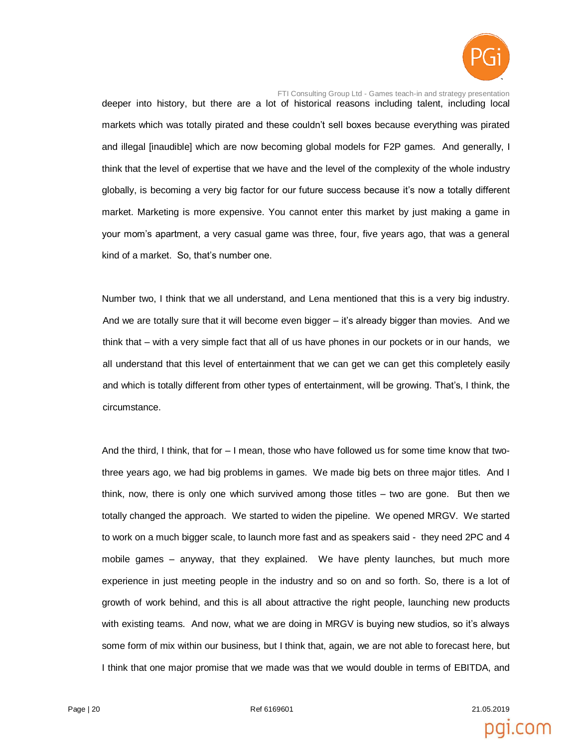

FTI Consulting Group Ltd - Games teach-in and strategy presentation deeper into history, but there are a lot of historical reasons including talent, including local markets which was totally pirated and these couldn't sell boxes because everything was pirated and illegal [inaudible] which are now becoming global models for F2P games. And generally, I think that the level of expertise that we have and the level of the complexity of the whole industry globally, is becoming a very big factor for our future success because it's now a totally different market. Marketing is more expensive. You cannot enter this market by just making a game in your mom's apartment, a very casual game was three, four, five years ago, that was a general kind of a market. So, that's number one.

Number two, I think that we all understand, and Lena mentioned that this is a very big industry. And we are totally sure that it will become even bigger – it's already bigger than movies. And we think that – with a very simple fact that all of us have phones in our pockets or in our hands, we all understand that this level of entertainment that we can get we can get this completely easily and which is totally different from other types of entertainment, will be growing. That's, I think, the circumstance.

And the third, I think, that for – I mean, those who have followed us for some time know that twothree years ago, we had big problems in games. We made big bets on three major titles. And I think, now, there is only one which survived among those titles – two are gone. But then we totally changed the approach. We started to widen the pipeline. We opened MRGV. We started to work on a much bigger scale, to launch more fast and as speakers said - they need 2PC and 4 mobile games – anyway, that they explained. We have plenty launches, but much more experience in just meeting people in the industry and so on and so forth. So, there is a lot of growth of work behind, and this is all about attractive the right people, launching new products with existing teams. And now, what we are doing in MRGV is buying new studios, so it's always some form of mix within our business, but I think that, again, we are not able to forecast here, but I think that one major promise that we made was that we would double in terms of EBITDA, and

Page | 20  $\,$  21.05.2019  $\,$  Ref 6169601  $\,$   $\,$  21.05.2019  $\,$  21.05.2019  $\,$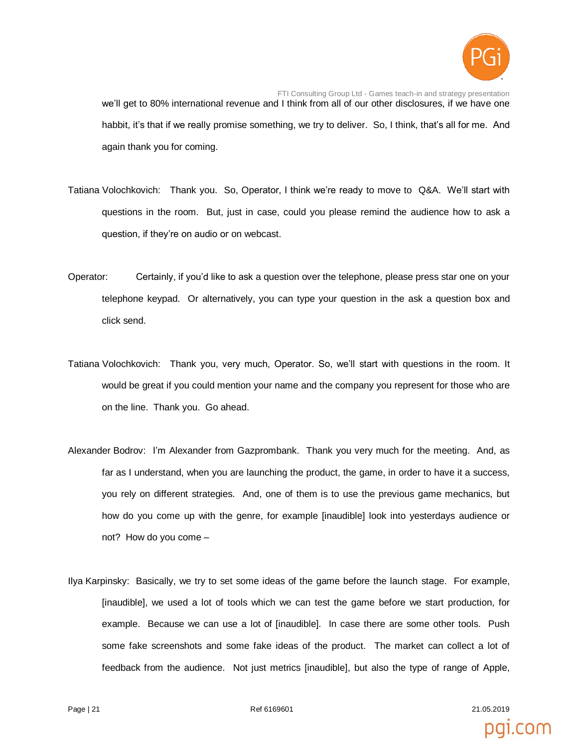

FTI Consulting Group Ltd - Games teach-in and strategy presentation we'll get to 80% international revenue and I think from all of our other disclosures, if we have one habbit, it's that if we really promise something, we try to deliver. So, I think, that's all for me. And again thank you for coming.

- Tatiana Volochkovich: Thank you. So, Operator, I think we're ready to move to Q&A. We'll start with questions in the room. But, just in case, could you please remind the audience how to ask a question, if they're on audio or on webcast.
- Operator: Certainly, if you'd like to ask a question over the telephone, please press star one on your telephone keypad. Or alternatively, you can type your question in the ask a question box and click send.
- Tatiana Volochkovich: Thank you, very much, Operator. So, we'll start with questions in the room. It would be great if you could mention your name and the company you represent for those who are on the line. Thank you. Go ahead.
- Alexander Bodrov: I'm Alexander from Gazprombank. Thank you very much for the meeting. And, as far as I understand, when you are launching the product, the game, in order to have it a success, you rely on different strategies. And, one of them is to use the previous game mechanics, but how do you come up with the genre, for example [inaudible] look into yesterdays audience or not? How do you come –
- Ilya Karpinsky: Basically, we try to set some ideas of the game before the launch stage. For example, [inaudible], we used a lot of tools which we can test the game before we start production, for example. Because we can use a lot of [inaudible]. In case there are some other tools. Push some fake screenshots and some fake ideas of the product. The market can collect a lot of feedback from the audience. Not just metrics [inaudible], but also the type of range of Apple,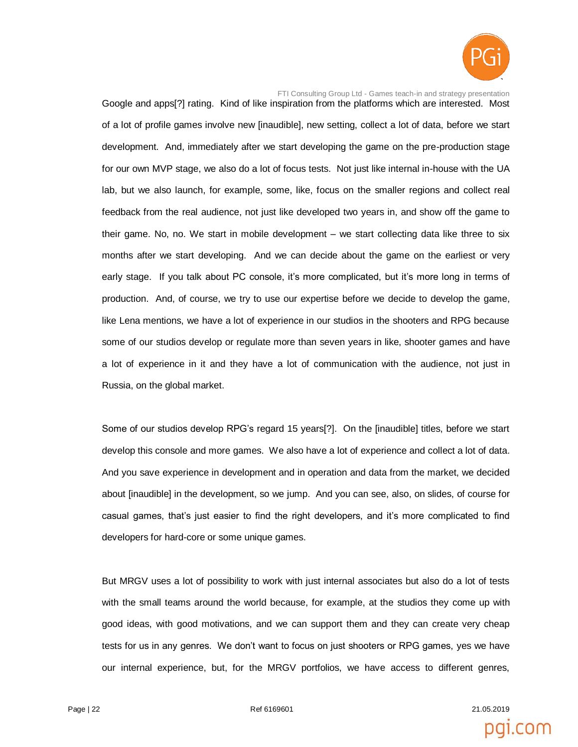

Google and apps[?] rating. Kind of like inspiration from the platforms which are interested. Most of a lot of profile games involve new [inaudible], new setting, collect a lot of data, before we start development. And, immediately after we start developing the game on the pre-production stage for our own MVP stage, we also do a lot of focus tests. Not just like internal in-house with the UA lab, but we also launch, for example, some, like, focus on the smaller regions and collect real feedback from the real audience, not just like developed two years in, and show off the game to their game. No, no. We start in mobile development – we start collecting data like three to six months after we start developing. And we can decide about the game on the earliest or very early stage. If you talk about PC console, it's more complicated, but it's more long in terms of production. And, of course, we try to use our expertise before we decide to develop the game, like Lena mentions, we have a lot of experience in our studios in the shooters and RPG because some of our studios develop or regulate more than seven years in like, shooter games and have a lot of experience in it and they have a lot of communication with the audience, not just in Russia, on the global market.

Some of our studios develop RPG's regard 15 years[?]. On the [inaudible] titles, before we start develop this console and more games. We also have a lot of experience and collect a lot of data. And you save experience in development and in operation and data from the market, we decided about [inaudible] in the development, so we jump. And you can see, also, on slides, of course for casual games, that's just easier to find the right developers, and it's more complicated to find developers for hard-core or some unique games.

But MRGV uses a lot of possibility to work with just internal associates but also do a lot of tests with the small teams around the world because, for example, at the studios they come up with good ideas, with good motivations, and we can support them and they can create very cheap tests for us in any genres. We don't want to focus on just shooters or RPG games, yes we have our internal experience, but, for the MRGV portfolios, we have access to different genres,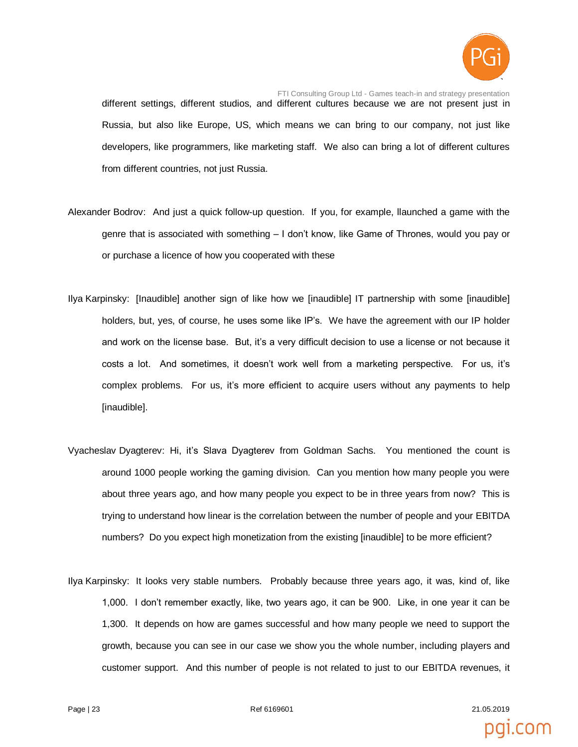

FTI Consulting Group Ltd - Games teach-in and strategy presentation different settings, different studios, and different cultures because we are not present just in Russia, but also like Europe, US, which means we can bring to our company, not just like developers, like programmers, like marketing staff. We also can bring a lot of different cultures from different countries, not just Russia.

- Alexander Bodrov: And just a quick follow-up question. If you, for example, llaunched a game with the genre that is associated with something – I don't know, like Game of Thrones, would you pay or or purchase a licence of how you cooperated with these
- Ilya Karpinsky: [Inaudible] another sign of like how we [inaudible] IT partnership with some [inaudible] holders, but, yes, of course, he uses some like IP's. We have the agreement with our IP holder and work on the license base. But, it's a very difficult decision to use a license or not because it costs a lot. And sometimes, it doesn't work well from a marketing perspective. For us, it's complex problems. For us, it's more efficient to acquire users without any payments to help [inaudible].
- Vyacheslav Dyagterev: Hi, it's Slava Dyagterev from Goldman Sachs. You mentioned the count is around 1000 people working the gaming division. Can you mention how many people you were about three years ago, and how many people you expect to be in three years from now? This is trying to understand how linear is the correlation between the number of people and your EBITDA numbers? Do you expect high monetization from the existing [inaudible] to be more efficient?
- Ilya Karpinsky: It looks very stable numbers. Probably because three years ago, it was, kind of, like 1,000. I don't remember exactly, like, two years ago, it can be 900. Like, in one year it can be 1,300. It depends on how are games successful and how many people we need to support the growth, because you can see in our case we show you the whole number, including players and customer support. And this number of people is not related to just to our EBITDA revenues, it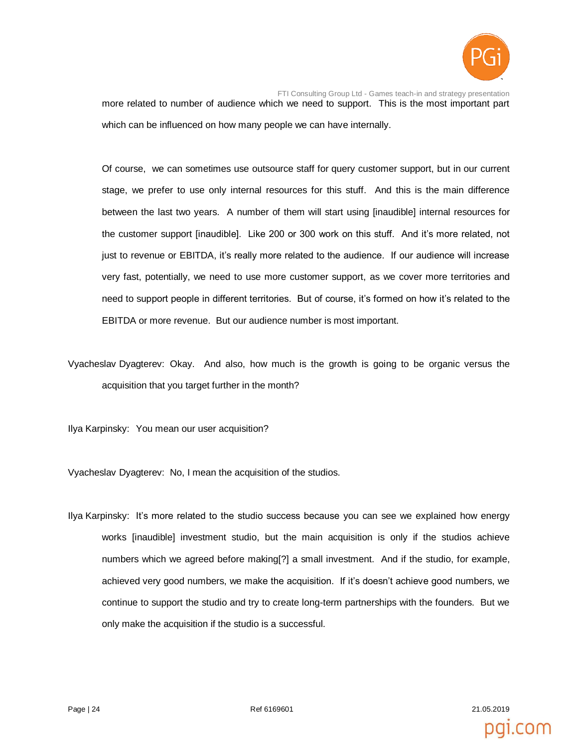

FTI Consulting Group Ltd - Games teach-in and strategy presentation more related to number of audience which we need to support. This is the most important part which can be influenced on how many people we can have internally.

Of course, we can sometimes use outsource staff for query customer support, but in our current stage, we prefer to use only internal resources for this stuff. And this is the main difference between the last two years. A number of them will start using [inaudible] internal resources for the customer support [inaudible]. Like 200 or 300 work on this stuff. And it's more related, not just to revenue or EBITDA, it's really more related to the audience. If our audience will increase very fast, potentially, we need to use more customer support, as we cover more territories and need to support people in different territories. But of course, it's formed on how it's related to the EBITDA or more revenue. But our audience number is most important.

Vyacheslav Dyagterev: Okay. And also, how much is the growth is going to be organic versus the acquisition that you target further in the month?

Ilya Karpinsky: You mean our user acquisition?

Vyacheslav Dyagterev: No, I mean the acquisition of the studios.

Ilya Karpinsky: It's more related to the studio success because you can see we explained how energy works [inaudible] investment studio, but the main acquisition is only if the studios achieve numbers which we agreed before making[?] a small investment. And if the studio, for example, achieved very good numbers, we make the acquisition. If it's doesn't achieve good numbers, we continue to support the studio and try to create long-term partnerships with the founders. But we only make the acquisition if the studio is a successful.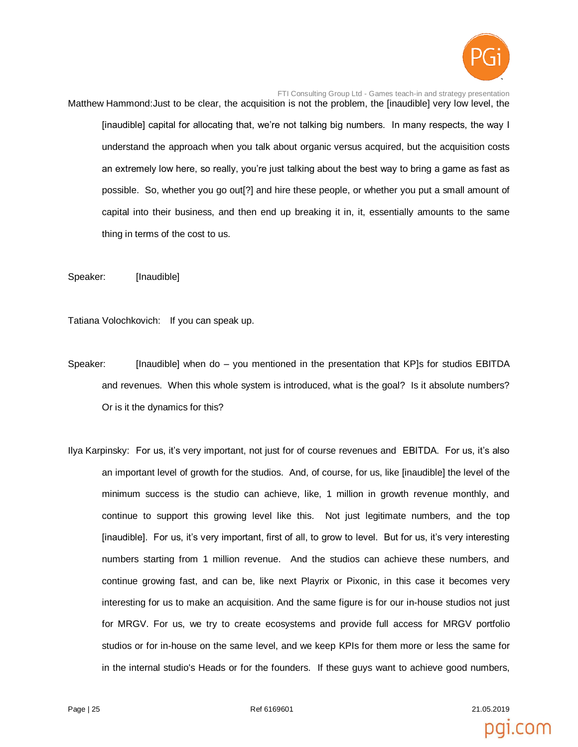

FTI Consulting Group Ltd - Games teach-in and strategy presentation Matthew Hammond:Just to be clear, the acquisition is not the problem, the [inaudible] very low level, the [inaudible] capital for allocating that, we're not talking big numbers. In many respects, the way I understand the approach when you talk about organic versus acquired, but the acquisition costs an extremely low here, so really, you're just talking about the best way to bring a game as fast as possible. So, whether you go out[?] and hire these people, or whether you put a small amount of capital into their business, and then end up breaking it in, it, essentially amounts to the same thing in terms of the cost to us.

Speaker: [Inaudible]

Tatiana Volochkovich: If you can speak up.

- Speaker: [Inaudible] when do you mentioned in the presentation that KP]s for studios EBITDA and revenues. When this whole system is introduced, what is the goal? Is it absolute numbers? Or is it the dynamics for this?
- Ilya Karpinsky: For us, it's very important, not just for of course revenues and EBITDA. For us, it's also an important level of growth for the studios. And, of course, for us, like [inaudible] the level of the minimum success is the studio can achieve, like, 1 million in growth revenue monthly, and continue to support this growing level like this. Not just legitimate numbers, and the top [inaudible]. For us, it's very important, first of all, to grow to level. But for us, it's very interesting numbers starting from 1 million revenue. And the studios can achieve these numbers, and continue growing fast, and can be, like next Playrix or Pixonic, in this case it becomes very interesting for us to make an acquisition. And the same figure is for our in-house studios not just for MRGV. For us, we try to create ecosystems and provide full access for MRGV portfolio studios or for in-house on the same level, and we keep KPIs for them more or less the same for in the internal studio's Heads or for the founders. If these guys want to achieve good numbers,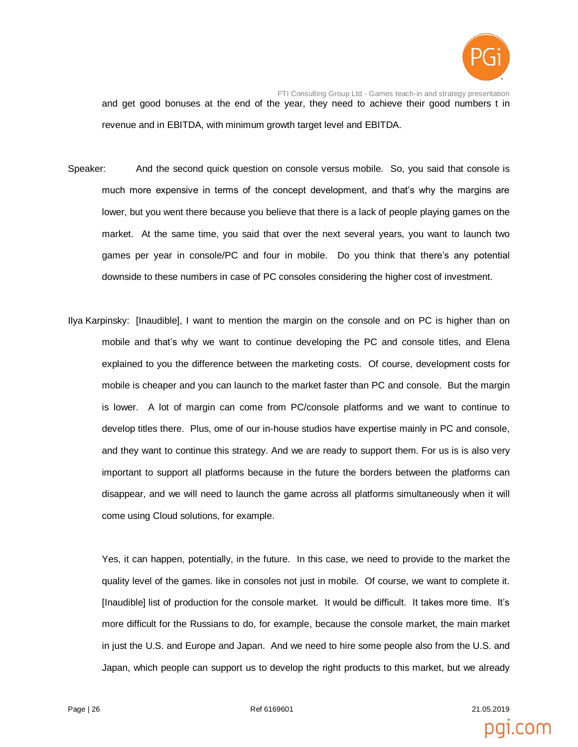

FTI Consulting Group Ltd - Games teach-in and strategy presentation and get good bonuses at the end of the year, they need to achieve their good numbers t in revenue and in EBITDA, with minimum growth target level and EBITDA.

- Speaker: And the second quick question on console versus mobile. So, you said that console is much more expensive in terms of the concept development, and that's why the margins are lower, but you went there because you believe that there is a lack of people playing games on the market. At the same time, you said that over the next several years, you want to launch two games per year in console/PC and four in mobile. Do you think that there's any potential downside to these numbers in case of PC consoles considering the higher cost of investment.
- Ilya Karpinsky: [Inaudible], I want to mention the margin on the console and on PC is higher than on mobile and that's why we want to continue developing the PC and console titles, and Elena explained to you the difference between the marketing costs. Of course, development costs for mobile is cheaper and you can launch to the market faster than PC and console. But the margin is lower. A lot of margin can come from PC/console platforms and we want to continue to develop titles there. Plus, ome of our in-house studios have expertise mainly in PC and console, and they want to continue this strategy. And we are ready to support them. For us is is also very important to support all platforms because in the future the borders between the platforms can disappear, and we will need to launch the game across all platforms simultaneously when it will come using Cloud solutions, for example.

Yes, it can happen, potentially, in the future. In this case, we need to provide to the market the quality level of the games. like in consoles not just in mobile. Of course, we want to complete it. [Inaudible] list of production for the console market. It would be difficult. It takes more time. It's more difficult for the Russians to do, for example, because the console market, the main market in just the U.S. and Europe and Japan. And we need to hire some people also from the U.S. and Japan, which people can support us to develop the right products to this market, but we already

Page | 26 Ref 6169601 21.05.2019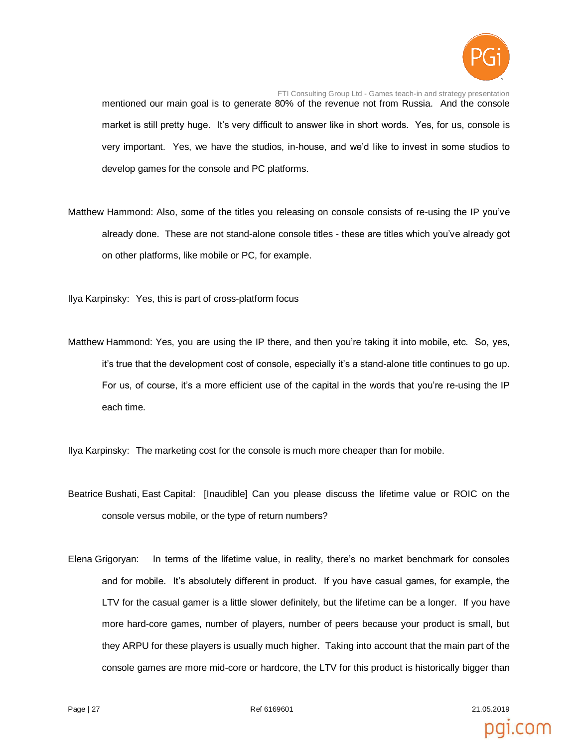

FTI Consulting Group Ltd - Games teach-in and strategy presentation mentioned our main goal is to generate 80% of the revenue not from Russia. And the console market is still pretty huge. It's very difficult to answer like in short words. Yes, for us, console is very important. Yes, we have the studios, in-house, and we'd like to invest in some studios to develop games for the console and PC platforms.

Matthew Hammond: Also, some of the titles you releasing on console consists of re-using the IP you've already done. These are not stand-alone console titles - these are titles which you've already got on other platforms, like mobile or PC, for example.

Ilya Karpinsky: Yes, this is part of cross-platform focus

Matthew Hammond: Yes, you are using the IP there, and then you're taking it into mobile, etc. So, yes, it's true that the development cost of console, especially it's a stand-alone title continues to go up. For us, of course, it's a more efficient use of the capital in the words that you're re-using the IP each time.

Ilya Karpinsky: The marketing cost for the console is much more cheaper than for mobile.

- Beatrice Bushati, East Capital: [Inaudible] Can you please discuss the lifetime value or ROIC on the console versus mobile, or the type of return numbers?
- Elena Grigoryan: In terms of the lifetime value, in reality, there's no market benchmark for consoles and for mobile. It's absolutely different in product. If you have casual games, for example, the LTV for the casual gamer is a little slower definitely, but the lifetime can be a longer. If you have more hard-core games, number of players, number of peers because your product is small, but they ARPU for these players is usually much higher. Taking into account that the main part of the console games are more mid-core or hardcore, the LTV for this product is historically bigger than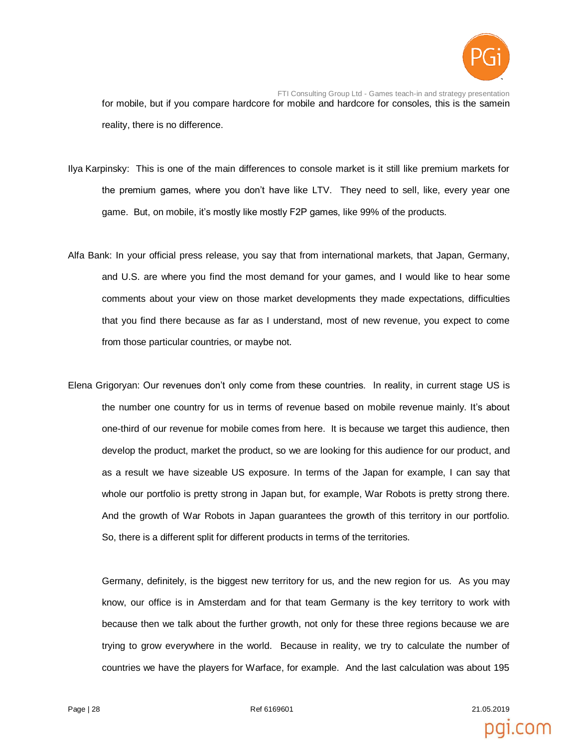

FTI Consulting Group Ltd - Games teach-in and strategy presentation for mobile, but if you compare hardcore for mobile and hardcore for consoles, this is the samein reality, there is no difference.

- Ilya Karpinsky: This is one of the main differences to console market is it still like premium markets for the premium games, where you don't have like LTV. They need to sell, like, every year one game. But, on mobile, it's mostly like mostly F2P games, like 99% of the products.
- Alfa Bank: In your official press release, you say that from international markets, that Japan, Germany, and U.S. are where you find the most demand for your games, and I would like to hear some comments about your view on those market developments they made expectations, difficulties that you find there because as far as I understand, most of new revenue, you expect to come from those particular countries, or maybe not.
- Elena Grigoryan: Our revenues don't only come from these countries. In reality, in current stage US is the number one country for us in terms of revenue based on mobile revenue mainly. It's about one-third of our revenue for mobile comes from here. It is because we target this audience, then develop the product, market the product, so we are looking for this audience for our product, and as a result we have sizeable US exposure. In terms of the Japan for example, I can say that whole our portfolio is pretty strong in Japan but, for example, War Robots is pretty strong there. And the growth of War Robots in Japan guarantees the growth of this territory in our portfolio. So, there is a different split for different products in terms of the territories.

Germany, definitely, is the biggest new territory for us, and the new region for us. As you may know, our office is in Amsterdam and for that team Germany is the key territory to work with because then we talk about the further growth, not only for these three regions because we are trying to grow everywhere in the world. Because in reality, we try to calculate the number of countries we have the players for Warface, for example. And the last calculation was about 195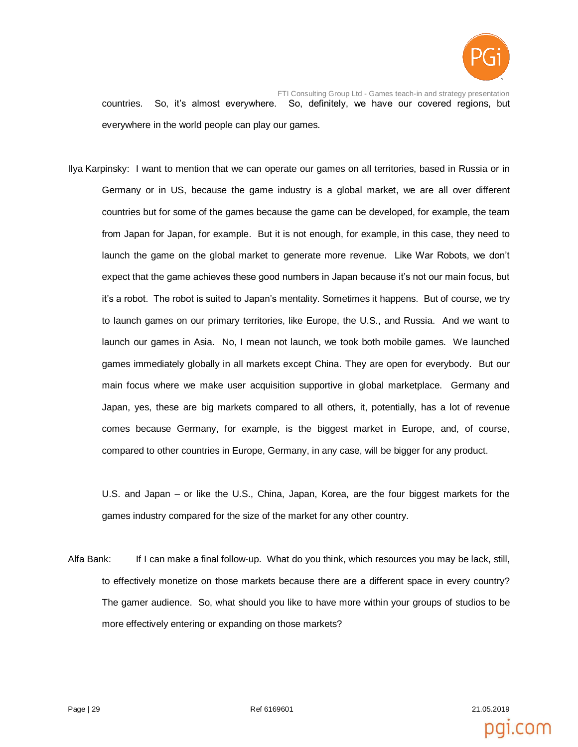

FTI Consulting Group Ltd - Games teach-in and strategy presentation countries. So, it's almost everywhere. So, definitely, we have our covered regions, but everywhere in the world people can play our games.

Ilya Karpinsky: I want to mention that we can operate our games on all territories, based in Russia or in Germany or in US, because the game industry is a global market, we are all over different countries but for some of the games because the game can be developed, for example, the team from Japan for Japan, for example. But it is not enough, for example, in this case, they need to launch the game on the global market to generate more revenue. Like War Robots, we don't expect that the game achieves these good numbers in Japan because it's not our main focus, but it's a robot. The robot is suited to Japan's mentality. Sometimes it happens. But of course, we try to launch games on our primary territories, like Europe, the U.S., and Russia. And we want to launch our games in Asia. No, I mean not launch, we took both mobile games. We launched games immediately globally in all markets except China. They are open for everybody. But our main focus where we make user acquisition supportive in global marketplace. Germany and Japan, yes, these are big markets compared to all others, it, potentially, has a lot of revenue comes because Germany, for example, is the biggest market in Europe, and, of course, compared to other countries in Europe, Germany, in any case, will be bigger for any product.

U.S. and Japan – or like the U.S., China, Japan, Korea, are the four biggest markets for the games industry compared for the size of the market for any other country.

Alfa Bank: If I can make a final follow-up. What do you think, which resources you may be lack, still, to effectively monetize on those markets because there are a different space in every country? The gamer audience. So, what should you like to have more within your groups of studios to be more effectively entering or expanding on those markets?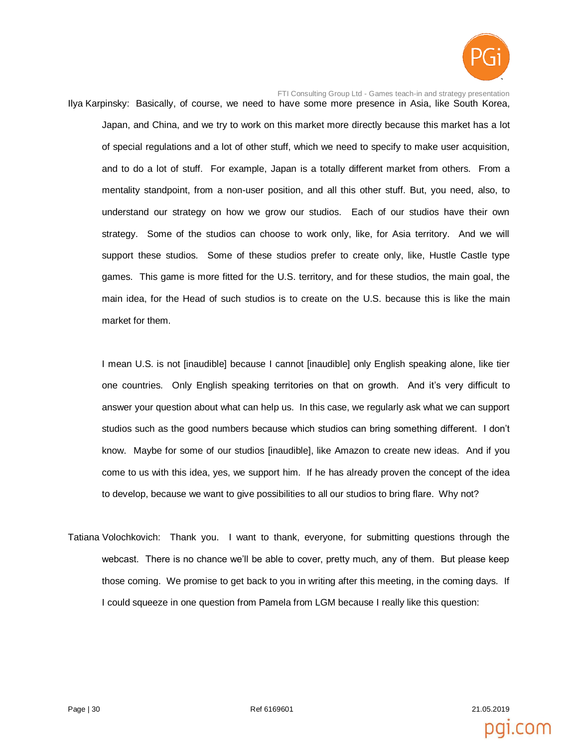

Ilya Karpinsky: Basically, of course, we need to have some more presence in Asia, like South Korea, Japan, and China, and we try to work on this market more directly because this market has a lot of special regulations and a lot of other stuff, which we need to specify to make user acquisition, and to do a lot of stuff. For example, Japan is a totally different market from others. From a mentality standpoint, from a non-user position, and all this other stuff. But, you need, also, to understand our strategy on how we grow our studios. Each of our studios have their own strategy. Some of the studios can choose to work only, like, for Asia territory. And we will support these studios. Some of these studios prefer to create only, like, Hustle Castle type games. This game is more fitted for the U.S. territory, and for these studios, the main goal, the main idea, for the Head of such studios is to create on the U.S. because this is like the main market for them.

I mean U.S. is not [inaudible] because I cannot [inaudible] only English speaking alone, like tier one countries. Only English speaking territories on that on growth. And it's very difficult to answer your question about what can help us. In this case, we regularly ask what we can support studios such as the good numbers because which studios can bring something different. I don't know. Maybe for some of our studios [inaudible], like Amazon to create new ideas. And if you come to us with this idea, yes, we support him. If he has already proven the concept of the idea to develop, because we want to give possibilities to all our studios to bring flare. Why not?

Tatiana Volochkovich: Thank you. I want to thank, everyone, for submitting questions through the webcast. There is no chance we'll be able to cover, pretty much, any of them. But please keep those coming. We promise to get back to you in writing after this meeting, in the coming days. If I could squeeze in one question from Pamela from LGM because I really like this question: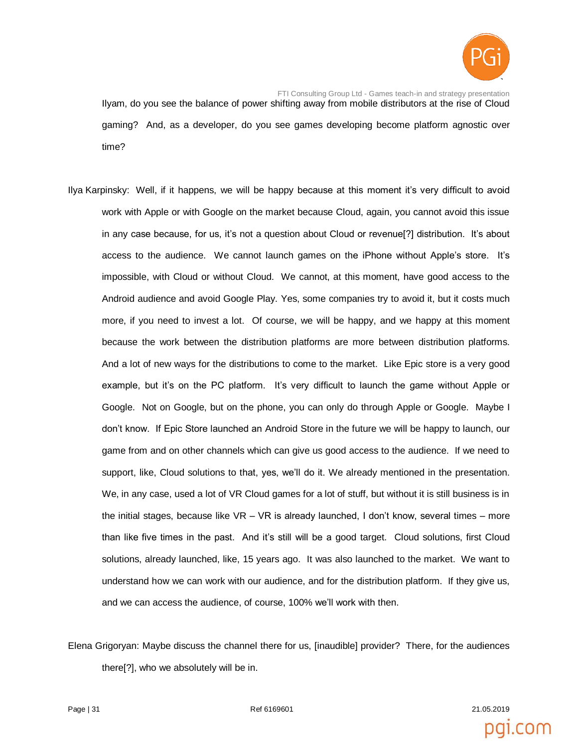

FTI Consulting Group Ltd - Games teach-in and strategy presentation Ilyam, do you see the balance of power shifting away from mobile distributors at the rise of Cloud gaming? And, as a developer, do you see games developing become platform agnostic over time?

- Ilya Karpinsky: Well, if it happens, we will be happy because at this moment it's very difficult to avoid work with Apple or with Google on the market because Cloud, again, you cannot avoid this issue in any case because, for us, it's not a question about Cloud or revenue[?] distribution. It's about access to the audience. We cannot launch games on the iPhone without Apple's store. It's impossible, with Cloud or without Cloud. We cannot, at this moment, have good access to the Android audience and avoid Google Play. Yes, some companies try to avoid it, but it costs much more, if you need to invest a lot. Of course, we will be happy, and we happy at this moment because the work between the distribution platforms are more between distribution platforms. And a lot of new ways for the distributions to come to the market. Like Epic store is a very good example, but it's on the PC platform. It's very difficult to launch the game without Apple or Google. Not on Google, but on the phone, you can only do through Apple or Google. Maybe I don't know. If Epic Store launched an Android Store in the future we will be happy to launch, our game from and on other channels which can give us good access to the audience. If we need to support, like, Cloud solutions to that, yes, we'll do it. We already mentioned in the presentation. We, in any case, used a lot of VR Cloud games for a lot of stuff, but without it is still business is in the initial stages, because like VR – VR is already launched, I don't know, several times – more than like five times in the past. And it's still will be a good target. Cloud solutions, first Cloud solutions, already launched, like, 15 years ago. It was also launched to the market. We want to understand how we can work with our audience, and for the distribution platform. If they give us, and we can access the audience, of course, 100% we'll work with then.
- Elena Grigoryan: Maybe discuss the channel there for us, [inaudible] provider? There, for the audiences there[?], who we absolutely will be in.

Page | 31 Ref 6169601 21.05.2019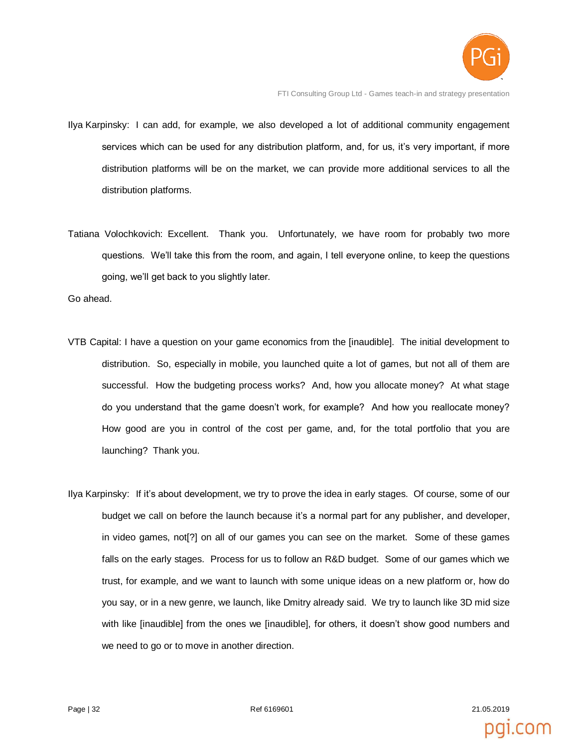

FTI Consulting Group Ltd - Games teach-in and strategy presentation

- Ilya Karpinsky: I can add, for example, we also developed a lot of additional community engagement services which can be used for any distribution platform, and, for us, it's very important, if more distribution platforms will be on the market, we can provide more additional services to all the distribution platforms.
- Tatiana Volochkovich: Excellent. Thank you. Unfortunately, we have room for probably two more questions. We'll take this from the room, and again, I tell everyone online, to keep the questions going, we'll get back to you slightly later.

Go ahead.

- VTB Capital: I have a question on your game economics from the [inaudible]. The initial development to distribution. So, especially in mobile, you launched quite a lot of games, but not all of them are successful. How the budgeting process works? And, how you allocate money? At what stage do you understand that the game doesn't work, for example? And how you reallocate money? How good are you in control of the cost per game, and, for the total portfolio that you are launching? Thank you.
- Ilya Karpinsky: If it's about development, we try to prove the idea in early stages. Of course, some of our budget we call on before the launch because it's a normal part for any publisher, and developer, in video games, not[?] on all of our games you can see on the market. Some of these games falls on the early stages. Process for us to follow an R&D budget. Some of our games which we trust, for example, and we want to launch with some unique ideas on a new platform or, how do you say, or in a new genre, we launch, like Dmitry already said. We try to launch like 3D mid size with like [inaudible] from the ones we [inaudible], for others, it doesn't show good numbers and we need to go or to move in another direction.

Page | 32 Ref 6169601 21.05.2019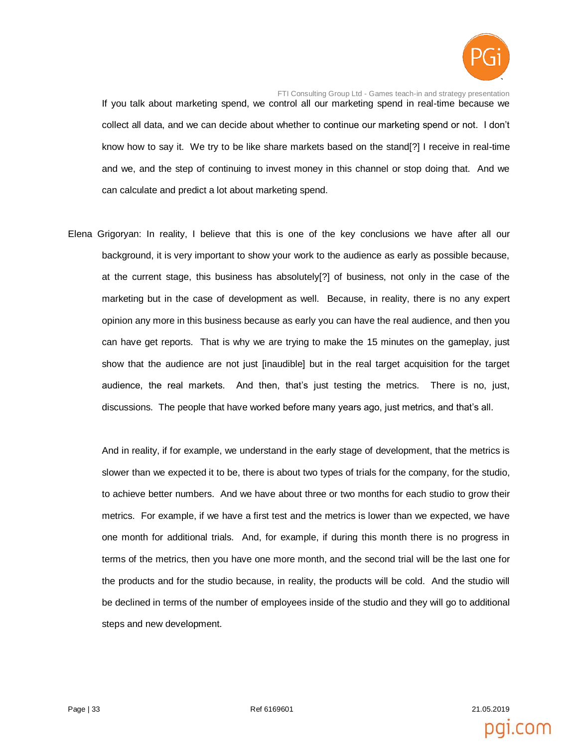

FTI Consulting Group Ltd - Games teach-in and strategy presentation If you talk about marketing spend, we control all our marketing spend in real-time because we collect all data, and we can decide about whether to continue our marketing spend or not. I don't know how to say it. We try to be like share markets based on the stand[?] I receive in real-time and we, and the step of continuing to invest money in this channel or stop doing that. And we can calculate and predict a lot about marketing spend.

Elena Grigoryan: In reality, I believe that this is one of the key conclusions we have after all our background, it is very important to show your work to the audience as early as possible because, at the current stage, this business has absolutely[?] of business, not only in the case of the marketing but in the case of development as well. Because, in reality, there is no any expert opinion any more in this business because as early you can have the real audience, and then you can have get reports. That is why we are trying to make the 15 minutes on the gameplay, just show that the audience are not just [inaudible] but in the real target acquisition for the target audience, the real markets. And then, that's just testing the metrics. There is no, just, discussions. The people that have worked before many years ago, just metrics, and that's all.

And in reality, if for example, we understand in the early stage of development, that the metrics is slower than we expected it to be, there is about two types of trials for the company, for the studio, to achieve better numbers. And we have about three or two months for each studio to grow their metrics. For example, if we have a first test and the metrics is lower than we expected, we have one month for additional trials. And, for example, if during this month there is no progress in terms of the metrics, then you have one more month, and the second trial will be the last one for the products and for the studio because, in reality, the products will be cold. And the studio will be declined in terms of the number of employees inside of the studio and they will go to additional steps and new development.

Page | 33 Ref 6169601 21.05.2019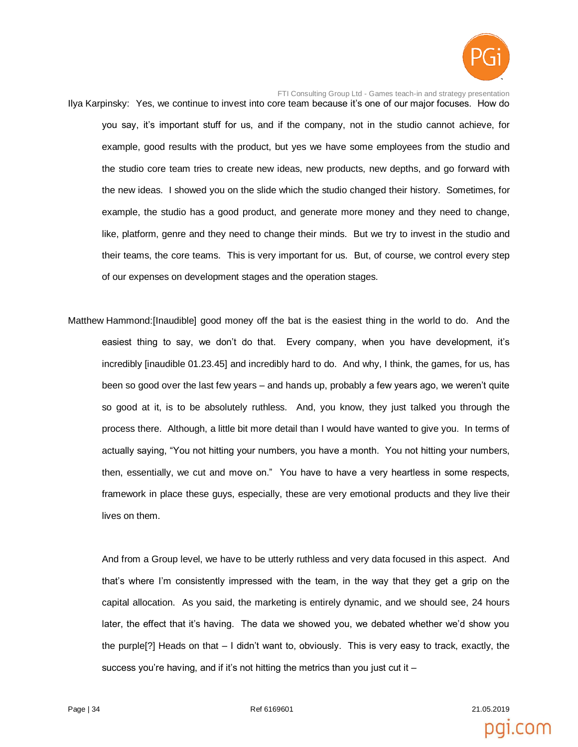

FTI Consulting Group Ltd - Games teach-in and strategy presentation Ilya Karpinsky: Yes, we continue to invest into core team because it's one of our major focuses. How do you say, it's important stuff for us, and if the company, not in the studio cannot achieve, for example, good results with the product, but yes we have some employees from the studio and the studio core team tries to create new ideas, new products, new depths, and go forward with the new ideas. I showed you on the slide which the studio changed their history. Sometimes, for example, the studio has a good product, and generate more money and they need to change, like, platform, genre and they need to change their minds. But we try to invest in the studio and their teams, the core teams. This is very important for us. But, of course, we control every step of our expenses on development stages and the operation stages.

Matthew Hammond:[Inaudible] good money off the bat is the easiest thing in the world to do. And the easiest thing to say, we don't do that. Every company, when you have development, it's incredibly [inaudible 01.23.45] and incredibly hard to do. And why, I think, the games, for us, has been so good over the last few years – and hands up, probably a few years ago, we weren't quite so good at it, is to be absolutely ruthless. And, you know, they just talked you through the process there. Although, a little bit more detail than I would have wanted to give you. In terms of actually saying, "You not hitting your numbers, you have a month. You not hitting your numbers, then, essentially, we cut and move on." You have to have a very heartless in some respects, framework in place these guys, especially, these are very emotional products and they live their lives on them.

And from a Group level, we have to be utterly ruthless and very data focused in this aspect. And that's where I'm consistently impressed with the team, in the way that they get a grip on the capital allocation. As you said, the marketing is entirely dynamic, and we should see, 24 hours later, the effect that it's having. The data we showed you, we debated whether we'd show you the purple[?] Heads on that – I didn't want to, obviously. This is very easy to track, exactly, the success you're having, and if it's not hitting the metrics than you just cut it  $-$ 

Page | 34 Ref 6169601 21.05.2019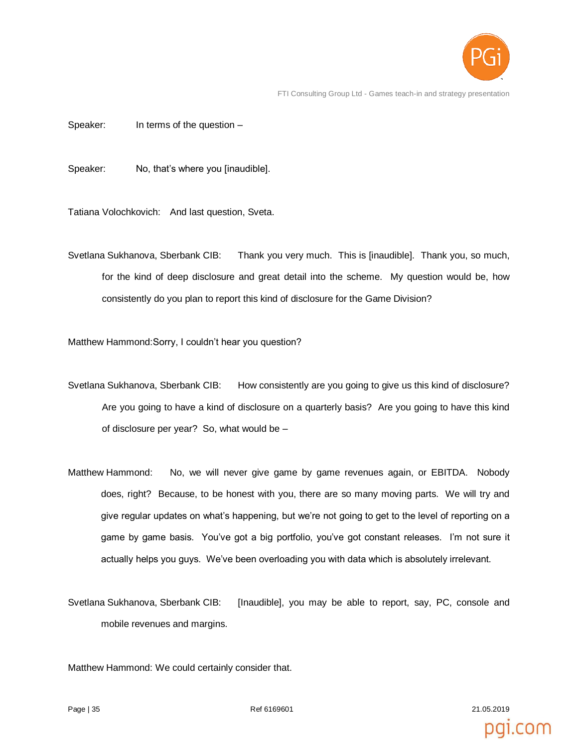

FTI Consulting Group Ltd - Games teach-in and strategy presentation

Speaker: In terms of the question –

Speaker: No, that's where you [inaudible].

Tatiana Volochkovich: And last question, Sveta.

Svetlana Sukhanova, Sberbank CIB: Thank you very much. This is [inaudible]. Thank you, so much, for the kind of deep disclosure and great detail into the scheme. My question would be, how consistently do you plan to report this kind of disclosure for the Game Division?

Matthew Hammond:Sorry, I couldn't hear you question?

Svetlana Sukhanova, Sberbank CIB: How consistently are you going to give us this kind of disclosure? Are you going to have a kind of disclosure on a quarterly basis? Are you going to have this kind of disclosure per year? So, what would be –

Matthew Hammond: No, we will never give game by game revenues again, or EBITDA. Nobody does, right? Because, to be honest with you, there are so many moving parts. We will try and give regular updates on what's happening, but we're not going to get to the level of reporting on a game by game basis. You've got a big portfolio, you've got constant releases. I'm not sure it actually helps you guys. We've been overloading you with data which is absolutely irrelevant.

Svetlana Sukhanova, Sberbank CIB: [Inaudible], you may be able to report, say, PC, console and mobile revenues and margins.

Matthew Hammond: We could certainly consider that.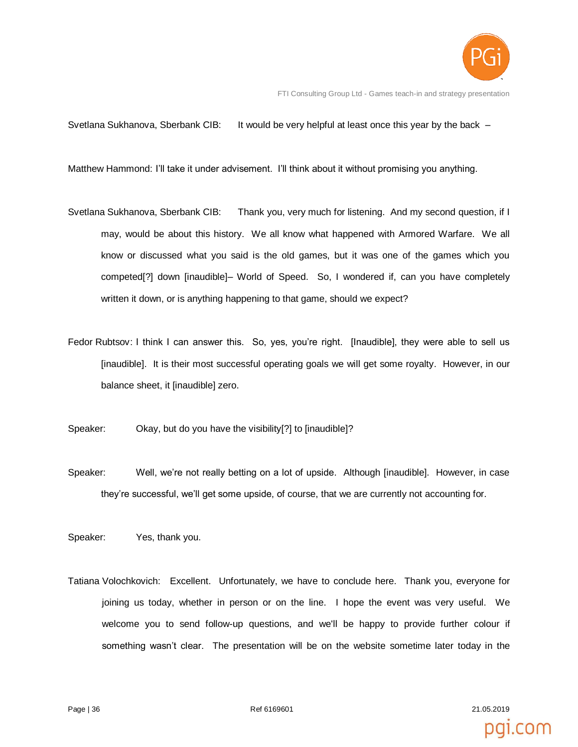

FTI Consulting Group Ltd - Games teach-in and strategy presentation

Svetlana Sukhanova, Sberbank CIB: It would be very helpful at least once this year by the back –

Matthew Hammond: I'll take it under advisement. I'll think about it without promising you anything.

- Svetlana Sukhanova, Sberbank CIB: Thank you, very much for listening. And my second question, if I may, would be about this history. We all know what happened with Armored Warfare. We all know or discussed what you said is the old games, but it was one of the games which you competed[?] down [inaudible]– World of Speed. So, I wondered if, can you have completely written it down, or is anything happening to that game, should we expect?
- Fedor Rubtsov: I think I can answer this. So, yes, you're right. [Inaudible], they were able to sell us [inaudible]. It is their most successful operating goals we will get some royalty. However, in our balance sheet, it [inaudible] zero.
- Speaker: Okay, but do you have the visibility[?] to [inaudible]?
- Speaker: Well, we're not really betting on a lot of upside. Although [inaudible]. However, in case they're successful, we'll get some upside, of course, that we are currently not accounting for.

Speaker: Yes, thank you.

Tatiana Volochkovich: Excellent. Unfortunately, we have to conclude here. Thank you, everyone for joining us today, whether in person or on the line. I hope the event was very useful. We welcome you to send follow-up questions, and we'll be happy to provide further colour if something wasn't clear. The presentation will be on the website sometime later today in the